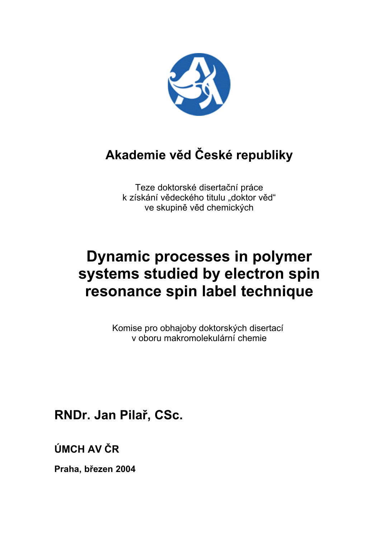

## **Akademie věd České republiky**

Teze doktorské disertační práce k získání vědeckého titulu "doktor věd" ve skupině věd chemických

# **Dynamic processes in polymer systems studied by electron spin resonance spin label technique**

Komise pro obhajoby doktorských disertací v oboru makromolekulární chemie

**RNDr. Jan Pilař, CSc.**

**ÚMCH AV ČR**

**Praha, březen 2004**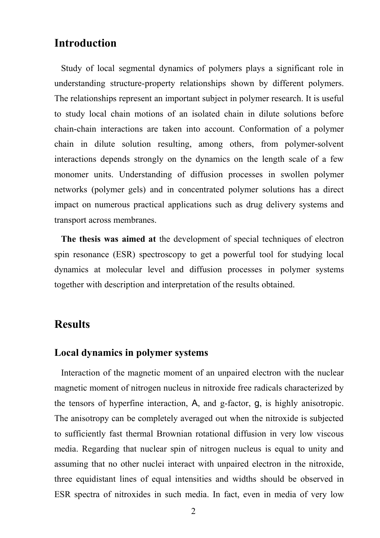## **Introduction**

Study of local segmental dynamics of polymers plays a significant role in understanding structure-property relationships shown by different polymers. The relationships represent an important subject in polymer research. It is useful to study local chain motions of an isolated chain in dilute solutions before chain-chain interactions are taken into account. Conformation of a polymer chain in dilute solution resulting, among others, from polymer-solvent interactions depends strongly on the dynamics on the length scale of a few monomer units. Understanding of diffusion processes in swollen polymer networks (polymer gels) and in concentrated polymer solutions has a direct impact on numerous practical applications such as drug delivery systems and transport across membranes.

**The thesis was aimed at** the development of special techniques of electron spin resonance (ESR) spectroscopy to get a powerful tool for studying local dynamics at molecular level and diffusion processes in polymer systems together with description and interpretation of the results obtained.

## **Results**

#### **Local dynamics in polymer systems**

Interaction of the magnetic moment of an unpaired electron with the nuclear magnetic moment of nitrogen nucleus in nitroxide free radicals characterized by the tensors of hyperfine interaction, A, and g-factor, g, is highly anisotropic. The anisotropy can be completely averaged out when the nitroxide is subjected to sufficiently fast thermal Brownian rotational diffusion in very low viscous media. Regarding that nuclear spin of nitrogen nucleus is equal to unity and assuming that no other nuclei interact with unpaired electron in the nitroxide, three equidistant lines of equal intensities and widths should be observed in ESR spectra of nitroxides in such media. In fact, even in media of very low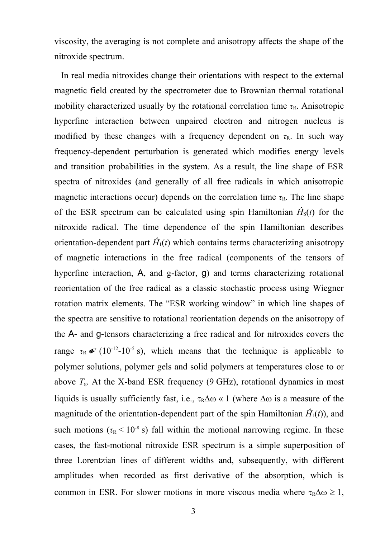viscosity, the averaging is not complete and anisotropy affects the shape of the nitroxide spectrum.

In real media nitroxides change their orientations with respect to the external magnetic field created by the spectrometer due to Brownian thermal rotational mobility characterized usually by the rotational correlation time  $\tau_R$ . Anisotropic hyperfine interaction between unpaired electron and nitrogen nucleus is modified by these changes with a frequency dependent on  $\tau_R$ . In such way frequency-dependent perturbation is generated which modifies energy levels and transition probabilities in the system. As a result, the line shape of ESR spectra of nitroxides (and generally of all free radicals in which anisotropic magnetic interactions occur) depends on the correlation time  $\tau_R$ . The line shape of the ESR spectrum can be calculated using spin Hamiltonian  $\hat{H}_s(t)$  for the nitroxide radical. The time dependence of the spin Hamiltonian describes orientation-dependent part  $\hat{H}_1(t)$  which contains terms characterizing anisotropy of magnetic interactions in the free radical (components of the tensors of hyperfine interaction, A, and g-factor, g) and terms characterizing rotational reorientation of the free radical as a classic stochastic process using Wiegner rotation matrix elements. The "ESR working window" in which line shapes of the spectra are sensitive to rotational reorientation depends on the anisotropy of the A- and g-tensors characterizing a free radical and for nitroxides covers the range  $\tau_R \ll (10^{-12} - 10^{-5} \text{ s})$ , which means that the technique is applicable to polymer solutions, polymer gels and solid polymers at temperatures close to or above  $T_{\rm g}$ . At the X-band ESR frequency (9 GHz), rotational dynamics in most liquids is usually sufficiently fast, i.e.,  $\tau_R \Delta \omega \ll 1$  (where  $\Delta \omega$  is a measure of the magnitude of the orientation-dependent part of the spin Hamiltonian  $\hat{H}_1(t)$ , and such motions  $(\tau_R < 10^{-8} \text{ s})$  fall within the motional narrowing regime. In these cases, the fast-motional nitroxide ESR spectrum is a simple superposition of three Lorentzian lines of different widths and, subsequently, with different amplitudes when recorded as first derivative of the absorption, which is common in ESR. For slower motions in more viscous media where  $\tau_R \Delta \omega \geq 1$ ,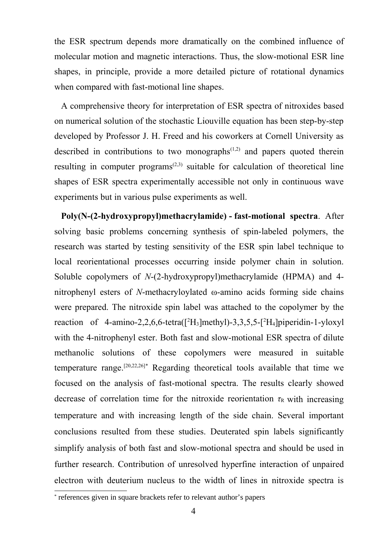the ESR spectrum depends more dramatically on the combined influence of molecular motion and magnetic interactions. Thus, the slow-motional ESR line shapes, in principle, provide a more detailed picture of rotational dynamics when compared with fast-motional line shapes.

A comprehensive theory for interpretation of ESR spectra of nitroxides based on numerical solution of the stochastic Liouville equation has been step-by-step developed by Professor J. H. Freed and his coworkers at Cornell University as described in contributions to two monographs $(1,2)$  and papers quoted therein resulting in computer programs<sup> $(2,3)$ </sup> suitable for calculation of theoretical line shapes of ESR spectra experimentally accessible not only in continuous wave experiments but in various pulse experiments as well.

**Poly(N-(2-hydroxypropyl)methacrylamide) - fast-motional spectra**. After solving basic problems concerning synthesis of spin-labeled polymers, the research was started by testing sensitivity of the ESR spin label technique to local reorientational processes occurring inside polymer chain in solution. Soluble copolymers of *N*-(2-hydroxypropyl)methacrylamide (HPMA) and 4 nitrophenyl esters of *N*-methacryloylated ω-amino acids forming side chains were prepared. The nitroxide spin label was attached to the copolymer by the reaction of 4-amino-2,2,6,6-tetra( $[^2H_3]$ methyl)-3,3,5,5- $[^2H_4]$ piperidin-1-yloxyl with the 4-nitrophenyl ester. Both fast and slow-motional ESR spectra of dilute methanolic solutions of these copolymers were measured in suitable temperature range.<sup>[20,22,26]\*</sup> Regarding theoretical tools available that time we focused on the analysis of fast-motional spectra. The results clearly showed decrease of correlation time for the nitroxide reorientation  $\tau_R$  with increasing temperature and with increasing length of the side chain. Several important conclusions resulted from these studies. Deuterated spin labels significantly simplify analysis of both fast and slow-motional spectra and should be used in further research. Contribution of unresolved hyperfine interaction of unpaired electron with deuterium nucleus to the width of lines in nitroxide spectra is

<sup>\*</sup> references given in square brackets refer to relevant author's papers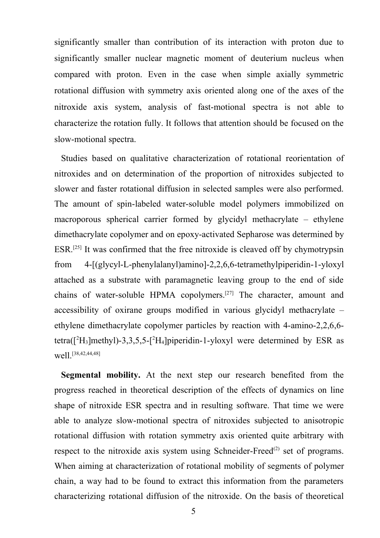significantly smaller than contribution of its interaction with proton due to significantly smaller nuclear magnetic moment of deuterium nucleus when compared with proton. Even in the case when simple axially symmetric rotational diffusion with symmetry axis oriented along one of the axes of the nitroxide axis system, analysis of fast-motional spectra is not able to characterize the rotation fully. It follows that attention should be focused on the slow-motional spectra.

Studies based on qualitative characterization of rotational reorientation of nitroxides and on determination of the proportion of nitroxides subjected to slower and faster rotational diffusion in selected samples were also performed. The amount of spin-labeled water-soluble model polymers immobilized on macroporous spherical carrier formed by glycidyl methacrylate – ethylene dimethacrylate copolymer and on epoxy-activated Sepharose was determined by ESR.<sup>[25]</sup> It was confirmed that the free nitroxide is cleaved off by chymotrypsin from 4-[(glycyl-L-phenylalanyl)amino]-2,2,6,6-tetramethylpiperidin-1-yloxyl attached as a substrate with paramagnetic leaving group to the end of side chains of water-soluble HPMA copolymers.<sup>[27]</sup> The character, amount and accessibility of oxirane groups modified in various glycidyl methacrylate – ethylene dimethacrylate copolymer particles by reaction with 4-amino-2,2,6,6 tetra( $[^2H_3]$ methyl)-3,3,5,5- $[^2H_4]$ piperidin-1-yloxyl were determined by ESR as well<sup>[38,42,44,48]</sup>

**Segmental mobility.** At the next step our research benefited from the progress reached in theoretical description of the effects of dynamics on line shape of nitroxide ESR spectra and in resulting software. That time we were able to analyze slow-motional spectra of nitroxides subjected to anisotropic rotational diffusion with rotation symmetry axis oriented quite arbitrary with respect to the nitroxide axis system using Schneider-Freed<sup>(2)</sup> set of programs. When aiming at characterization of rotational mobility of segments of polymer chain, a way had to be found to extract this information from the parameters characterizing rotational diffusion of the nitroxide. On the basis of theoretical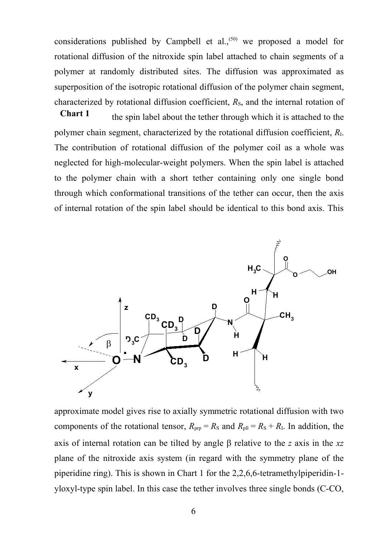considerations published by Campbell et al.,<sup> $(50)$ </sup> we proposed a model for rotational diffusion of the nitroxide spin label attached to chain segments of a polymer at randomly distributed sites. The diffusion was approximated as superposition of the isotropic rotational diffusion of the polymer chain segment, characterized by rotational diffusion coefficient,  $R<sub>S</sub>$ , and the internal rotation of

the spin label about the tether through which it is attached to the polymer chain segment, characterized by the rotational diffusion coefficient, *R*I. The contribution of rotational diffusion of the polymer coil as a whole was neglected for high-molecular-weight polymers. When the spin label is attached to the polymer chain with a short tether containing only one single bond through which conformational transitions of the tether can occur, then the axis of internal rotation of the spin label should be identical to this bond axis. This **Chart 1**



approximate model gives rise to axially symmetric rotational diffusion with two components of the rotational tensor,  $R_{\text{prp}} = R_{\text{S}}$  and  $R_{\text{pll}} = R_{\text{S}} + R_{\text{I}}$ . In addition, the axis of internal rotation can be tilted by angle  $\beta$  relative to the *z* axis in the *xz* plane of the nitroxide axis system (in regard with the symmetry plane of the piperidine ring). This is shown in Chart 1 for the 2,2,6,6-tetramethylpiperidin-1 yloxyl-type spin label. In this case the tether involves three single bonds (C-CO,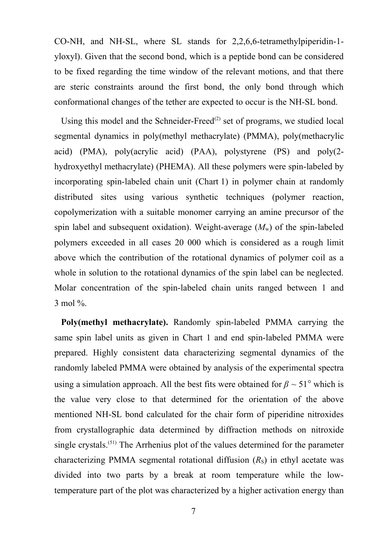CO-NH, and NH-SL, where SL stands for 2,2,6,6-tetramethylpiperidin-1 yloxyl). Given that the second bond, which is a peptide bond can be considered to be fixed regarding the time window of the relevant motions, and that there are steric constraints around the first bond, the only bond through which conformational changes of the tether are expected to occur is the NH-SL bond.

Using this model and the Schneider-Freed<sup>(2)</sup> set of programs, we studied local segmental dynamics in poly(methyl methacrylate) (PMMA), poly(methacrylic acid) (PMA), poly(acrylic acid) (PAA), polystyrene (PS) and poly(2 hydroxyethyl methacrylate) (PHEMA). All these polymers were spin-labeled by incorporating spin-labeled chain unit (Chart 1) in polymer chain at randomly distributed sites using various synthetic techniques (polymer reaction, copolymerization with a suitable monomer carrying an amine precursor of the spin label and subsequent oxidation). Weight-average  $(M_w)$  of the spin-labeled polymers exceeded in all cases 20 000 which is considered as a rough limit above which the contribution of the rotational dynamics of polymer coil as a whole in solution to the rotational dynamics of the spin label can be neglected. Molar concentration of the spin-labeled chain units ranged between 1 and 3 mol %.

**Poly(methyl methacrylate).** Randomly spin-labeled PMMA carrying the same spin label units as given in Chart 1 and end spin-labeled PMMA were prepared. Highly consistent data characterizing segmental dynamics of the randomly labeled PMMA were obtained by analysis of the experimental spectra using a simulation approach. All the best fits were obtained for  $\beta \sim 51^\circ$  which is the value very close to that determined for the orientation of the above mentioned NH-SL bond calculated for the chair form of piperidine nitroxides from crystallographic data determined by diffraction methods on nitroxide single crystals.<sup>(51)</sup> The Arrhenius plot of the values determined for the parameter characterizing PMMA segmental rotational diffusion  $(R<sub>S</sub>)$  in ethyl acetate was divided into two parts by a break at room temperature while the lowtemperature part of the plot was characterized by a higher activation energy than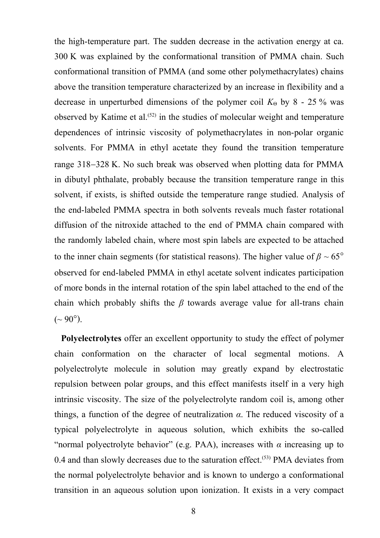the high-temperature part. The sudden decrease in the activation energy at ca. 300 K was explained by the conformational transition of PMMA chain. Such conformational transition of PMMA (and some other polymethacrylates) chains above the transition temperature characterized by an increase in flexibility and a decrease in unperturbed dimensions of the polymer coil  $K_{\Theta}$  by 8 - 25 % was observed by Katime et al.<sup> $(52)$ </sup> in the studies of molecular weight and temperature dependences of intrinsic viscosity of polymethacrylates in non-polar organic solvents. For PMMA in ethyl acetate they found the transition temperature range 318–328 K. No such break was observed when plotting data for PMMA in dibutyl phthalate, probably because the transition temperature range in this solvent, if exists, is shifted outside the temperature range studied. Analysis of the end-labeled PMMA spectra in both solvents reveals much faster rotational diffusion of the nitroxide attached to the end of PMMA chain compared with the randomly labeled chain, where most spin labels are expected to be attached to the inner chain segments (for statistical reasons). The higher value of  $\beta \sim 65^{\circ}$ observed for end-labeled PMMA in ethyl acetate solvent indicates participation of more bonds in the internal rotation of the spin label attached to the end of the chain which probably shifts the *β* towards average value for all-trans chain  $({\sim} 90^{\circ})$ .

**Polyelectrolytes** offer an excellent opportunity to study the effect of polymer chain conformation on the character of local segmental motions. A polyelectrolyte molecule in solution may greatly expand by electrostatic repulsion between polar groups, and this effect manifests itself in a very high intrinsic viscosity. The size of the polyelectrolyte random coil is, among other things, a function of the degree of neutralization  $\alpha$ . The reduced viscosity of a typical polyelectrolyte in aqueous solution, which exhibits the so-called "normal polyectrolyte behavior" (e.g. PAA), increases with  $\alpha$  increasing up to  $0.4$  and than slowly decreases due to the saturation effect.<sup> $(53)$ </sup> PMA deviates from the normal polyelectrolyte behavior and is known to undergo a conformational transition in an aqueous solution upon ionization. It exists in a very compact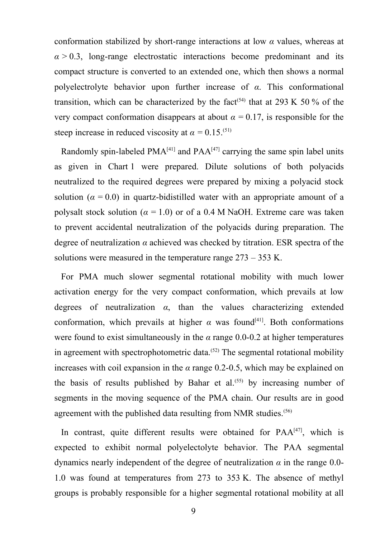conformation stabilized by short-range interactions at low *α* values, whereas at  $\alpha$  > 0.3, long-range electrostatic interactions become predominant and its compact structure is converted to an extended one, which then shows a normal polyelectrolyte behavior upon further increase of *α*. This conformational transition, which can be characterized by the fact<sup>(54)</sup> that at 293 K 50 % of the very compact conformation disappears at about  $\alpha = 0.17$ , is responsible for the steep increase in reduced viscosity at  $\alpha = 0.15$ .<sup>(51)</sup>

Randomly spin-labeled  $PMA^{[41]}$  and  $PAA^{[47]}$  carrying the same spin label units as given in Chart 1 were prepared. Dilute solutions of both polyacids neutralized to the required degrees were prepared by mixing a polyacid stock solution ( $\alpha = 0.0$ ) in quartz-bidistilled water with an appropriate amount of a polysalt stock solution ( $\alpha = 1.0$ ) or of a 0.4 M NaOH. Extreme care was taken to prevent accidental neutralization of the polyacids during preparation. The degree of neutralization *α* achieved was checked by titration. ESR spectra of the solutions were measured in the temperature range  $273 - 353$  K.

For PMA much slower segmental rotational mobility with much lower activation energy for the very compact conformation, which prevails at low degrees of neutralization *α*, than the values characterizing extended conformation, which prevails at higher  $\alpha$  was found<sup>[41]</sup>. Both conformations were found to exist simultaneously in the  $\alpha$  range 0.0-0.2 at higher temperatures in agreement with spectrophotometric data.<sup>(52)</sup> The segmental rotational mobility increases with coil expansion in the *α* range 0.2-0.5, which may be explained on the basis of results published by Bahar et al.<sup> $(55)$ </sup> by increasing number of segments in the moving sequence of the PMA chain. Our results are in good agreement with the published data resulting from NMR studies.<sup>(56)</sup>

In contrast, quite different results were obtained for  $PAA^{[47]}$ , which is expected to exhibit normal polyelectolyte behavior. The PAA segmental dynamics nearly independent of the degree of neutralization  $\alpha$  in the range 0.0-1.0 was found at temperatures from 273 to 353 K. The absence of methyl groups is probably responsible for a higher segmental rotational mobility at all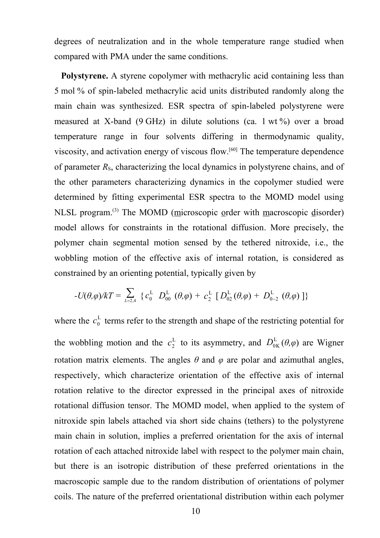degrees of neutralization and in the whole temperature range studied when compared with PMA under the same conditions.

**Polystyrene.** A styrene copolymer with methacrylic acid containing less than 5 mol % of spin-labeled methacrylic acid units distributed randomly along the main chain was synthesized. ESR spectra of spin-labeled polystyrene were measured at X-band (9 GHz) in dilute solutions (ca. 1 wt %) over a broad temperature range in four solvents differing in thermodynamic quality, viscosity, and activation energy of viscous flow.<sup>[60]</sup> The temperature dependence of parameter  $R<sub>S</sub>$ , characterizing the local dynamics in polystyrene chains, and of the other parameters characterizing dynamics in the copolymer studied were determined by fitting experimental ESR spectra to the MOMD model using NLSL program.<sup>(3)</sup> The MOMD (microscopic order with macroscopic disorder) model allows for constraints in the rotational diffusion. More precisely, the polymer chain segmental motion sensed by the tethered nitroxide, i.e., the wobbling motion of the effective axis of internal rotation, is considered as constrained by an orienting potential, typically given by

$$
-U(\theta,\varphi)/kT=\textstyle\sum\limits_{\scriptscriptstyle{L=2,4}}\;\{ \,c^{\text{L}}_{0} \;\; D^{\text{L}}_{00} \;\, (\theta,\varphi)+\textstyle\,c^{\text{L}}_{2} \;\, [\,D^{\text{L}}_{02} \,(\theta,\varphi)+\textstyle\,D^{\text{L}}_{0-2} \;\, (\theta,\varphi)\,\, ] \, \}
$$

where the  $c_0^L$  $c_0^L$  terms refer to the strength and shape of the restricting potential for the wobbling motion and the  $c_2^L$  to its asymmetry, and  $D_{0K}^L(\theta,\varphi)$  are Wigner rotation matrix elements. The angles  $\theta$  and  $\varphi$  are polar and azimuthal angles, respectively, which characterize orientation of the effective axis of internal rotation relative to the director expressed in the principal axes of nitroxide rotational diffusion tensor. The MOMD model, when applied to the system of nitroxide spin labels attached via short side chains (tethers) to the polystyrene main chain in solution, implies a preferred orientation for the axis of internal rotation of each attached nitroxide label with respect to the polymer main chain, but there is an isotropic distribution of these preferred orientations in the macroscopic sample due to the random distribution of orientations of polymer coils. The nature of the preferred orientational distribution within each polymer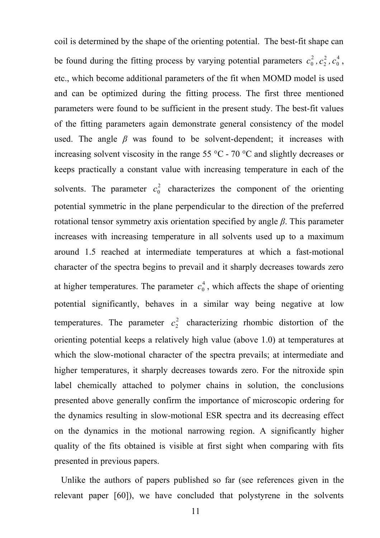coil is determined by the shape of the orienting potential. The best-fit shape can be found during the fitting process by varying potential parameters  $c_0^2$  $c_0^2$  ,  $c_2^2$  $c_2^2$  ,  $c_0^4$  $c_0^4$  , etc., which become additional parameters of the fit when MOMD model is used and can be optimized during the fitting process. The first three mentioned parameters were found to be sufficient in the present study. The best-fit values of the fitting parameters again demonstrate general consistency of the model used. The angle  $\beta$  was found to be solvent-dependent; it increases with increasing solvent viscosity in the range 55 °C - 70 °C and slightly decreases or keeps practically a constant value with increasing temperature in each of the solvents. The parameter  $c_0^2$  $c_0^2$  characterizes the component of the orienting potential symmetric in the plane perpendicular to the direction of the preferred rotational tensor symmetry axis orientation specified by angle *β*. This parameter increases with increasing temperature in all solvents used up to a maximum around 1.5 reached at intermediate temperatures at which a fast-motional character of the spectra begins to prevail and it sharply decreases towards zero at higher temperatures. The parameter  $c_0^4$  $c_0^4$ , which affects the shape of orienting potential significantly, behaves in a similar way being negative at low temperatures. The parameter  $c_2^2$  characterizing rhombic distortion of the orienting potential keeps a relatively high value (above 1.0) at temperatures at which the slow-motional character of the spectra prevails; at intermediate and higher temperatures, it sharply decreases towards zero. For the nitroxide spin label chemically attached to polymer chains in solution, the conclusions presented above generally confirm the importance of microscopic ordering for the dynamics resulting in slow-motional ESR spectra and its decreasing effect on the dynamics in the motional narrowing region. A significantly higher quality of the fits obtained is visible at first sight when comparing with fits presented in previous papers.

Unlike the authors of papers published so far (see references given in the relevant paper [60]), we have concluded that polystyrene in the solvents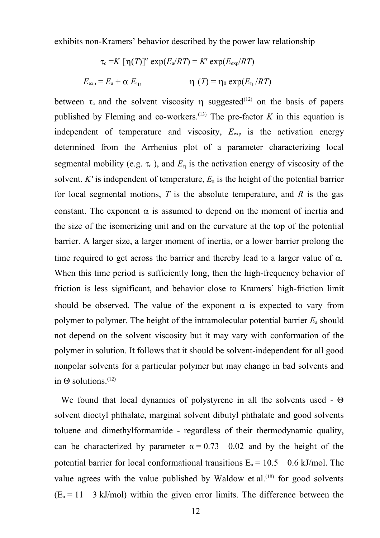exhibits non-Kramers' behavior described by the power law relationship

$$
\tau_{\rm c} = K \ [\eta(T)]^{\alpha} \exp(E_{\rm a}/RT) = K' \exp(E_{\rm exp}/RT)
$$

$$
E_{\rm exp} = E_{\rm a} + \alpha \ E_{\eta}, \qquad \eta \ (T) = \eta_0 \exp(E_{\eta}/RT)
$$

between  $\tau_c$  and the solvent viscosity  $\eta$  suggested<sup>(12)</sup> on the basis of papers published by Fleming and co-workers.<sup>(13)</sup> The pre-factor  $K$  in this equation is independent of temperature and viscosity,  $E_{\text{exp}}$  is the activation energy determined from the Arrhenius plot of a parameter characterizing local segmental mobility (e.g.  $\tau_c$ ), and  $E_n$  is the activation energy of viscosity of the solvent. *K'* is independent of temperature,  $E_a$  is the height of the potential barrier for local segmental motions, *T* is the absolute temperature, and *R* is the gas constant. The exponent  $\alpha$  is assumed to depend on the moment of inertia and the size of the isomerizing unit and on the curvature at the top of the potential barrier. A larger size, a larger moment of inertia, or a lower barrier prolong the time required to get across the barrier and thereby lead to a larger value of  $\alpha$ . When this time period is sufficiently long, then the high-frequency behavior of friction is less significant, and behavior close to Kramers' high-friction limit should be observed. The value of the exponent  $\alpha$  is expected to vary from polymer to polymer. The height of the intramolecular potential barrier  $E_a$  should not depend on the solvent viscosity but it may vary with conformation of the polymer in solution. It follows that it should be solvent-independent for all good nonpolar solvents for a particular polymer but may change in bad solvents and in  $\Theta$  solutions.<sup>(12)</sup>

We found that local dynamics of polystyrene in all the solvents used -  $\Theta$ solvent dioctyl phthalate, marginal solvent dibutyl phthalate and good solvents toluene and dimethylformamide - regardless of their thermodynamic quality, can be characterized by parameter  $\alpha = 0.73$  0.02 and by the height of the potential barrier for local conformational transitions  $E_a = 10.5$  0.6 kJ/mol. The value agrees with the value published by Waldow et al.<sup> $(18)$ </sup> for good solvents  $(E_a = 11 \text{ } 3 \text{ kJ/mol})$  within the given error limits. The difference between the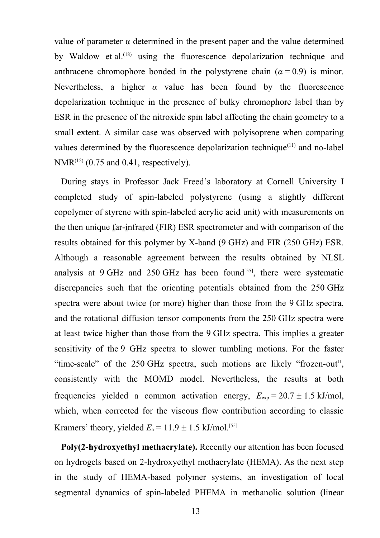value of parameter α determined in the present paper and the value determined by Waldow et al.<sup> $(18)$ </sup> using the fluorescence depolarization technique and anthracene chromophore bonded in the polystyrene chain  $(a = 0.9)$  is minor. Nevertheless, a higher  $\alpha$  value has been found by the fluorescence depolarization technique in the presence of bulky chromophore label than by ESR in the presence of the nitroxide spin label affecting the chain geometry to a small extent. A similar case was observed with polyisoprene when comparing values determined by the fluorescence depolarization technique $(11)$  and no-label  $NMR^{(12)}$  (0.75 and 0.41, respectively).

During stays in Professor Jack Freed's laboratory at Cornell University I completed study of spin-labeled polystyrene (using a slightly different copolymer of styrene with spin-labeled acrylic acid unit) with measurements on the then unique far-infrared (FIR) ESR spectrometer and with comparison of the results obtained for this polymer by X-band (9 GHz) and FIR (250 GHz) ESR. Although a reasonable agreement between the results obtained by NLSL analysis at  $9$  GHz and  $250$  GHz has been found<sup>[55]</sup>, there were systematic discrepancies such that the orienting potentials obtained from the 250 GHz spectra were about twice (or more) higher than those from the 9 GHz spectra, and the rotational diffusion tensor components from the 250 GHz spectra were at least twice higher than those from the 9 GHz spectra. This implies a greater sensitivity of the 9 GHz spectra to slower tumbling motions. For the faster "time-scale" of the 250 GHz spectra, such motions are likely "frozen-out", consistently with the MOMD model. Nevertheless, the results at both frequencies yielded a common activation energy,  $E_{exp} = 20.7 \pm 1.5 \text{ kJ/mol}$ , which, when corrected for the viscous flow contribution according to classic Kramers' theory, yielded  $E_a = 11.9 \pm 1.5$  kJ/mol.<sup>[55]</sup>

**Poly(2-hydroxyethyl methacrylate).** Recently our attention has been focused on hydrogels based on 2-hydroxyethyl methacrylate (HEMA). As the next step in the study of HEMA-based polymer systems, an investigation of local segmental dynamics of spin-labeled PHEMA in methanolic solution (linear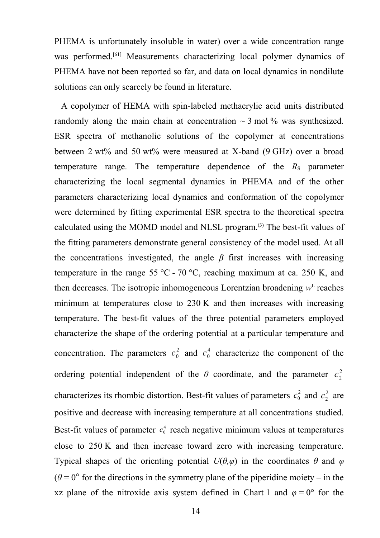PHEMA is unfortunately insoluble in water) over a wide concentration range was performed.<sup>[61]</sup> Measurements characterizing local polymer dynamics of PHEMA have not been reported so far, and data on local dynamics in nondilute solutions can only scarcely be found in literature.

A copolymer of HEMA with spin-labeled methacrylic acid units distributed randomly along the main chain at concentration  $\sim$  3 mol % was synthesized. ESR spectra of methanolic solutions of the copolymer at concentrations between 2 wt% and 50 wt% were measured at X-band (9 GHz) over a broad temperature range. The temperature dependence of the  $R<sub>S</sub>$  parameter characterizing the local segmental dynamics in PHEMA and of the other parameters characterizing local dynamics and conformation of the copolymer were determined by fitting experimental ESR spectra to the theoretical spectra calculated using the MOMD model and NLSL program.<sup>(3)</sup> The best-fit values of the fitting parameters demonstrate general consistency of the model used. At all the concentrations investigated, the angle  $\beta$  first increases with increasing temperature in the range 55 °C - 70 °C, reaching maximum at ca. 250 K, and then decreases. The isotropic inhomogeneous Lorentzian broadening  $w<sup>L</sup>$  reaches minimum at temperatures close to 230 K and then increases with increasing temperature. The best-fit values of the three potential parameters employed characterize the shape of the ordering potential at a particular temperature and concentration. The parameters  $c_0^2$  $c_0^2$  and  $c_0^4$  $c_0^4$  characterize the component of the ordering potential independent of the  $\theta$  coordinate, and the parameter  $c_2^2$ characterizes its rhombic distortion. Best-fit values of parameters  $c_0^2$  $c_0^2$  and  $c_2^2$  are positive and decrease with increasing temperature at all concentrations studied. Best-fit values of parameter  $c_0^4$  reach negative minimum values at temperatures close to 250 K and then increase toward zero with increasing temperature. Typical shapes of the orienting potential  $U(\theta,\varphi)$  in the coordinates  $\theta$  and  $\varphi$  $(\theta = 0^{\circ}$  for the directions in the symmetry plane of the piperidine moiety – in the xz plane of the nitroxide axis system defined in Chart 1 and  $\varphi = 0^{\circ}$  for the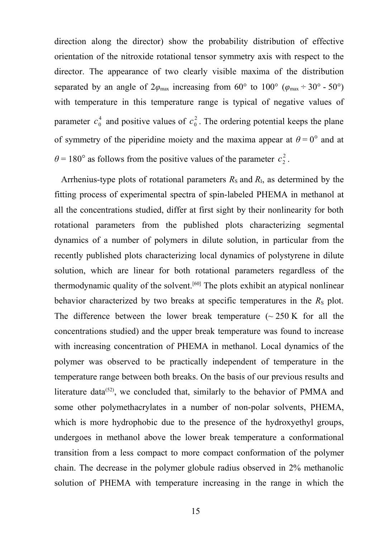direction along the director) show the probability distribution of effective orientation of the nitroxide rotational tensor symmetry axis with respect to the director. The appearance of two clearly visible maxima of the distribution separated by an angle of  $2\varphi_{\text{max}}$  increasing from 60° to 100° ( $\varphi_{\text{max}} \div 30$ ° - 50°) with temperature in this temperature range is typical of negative values of parameter  $c_0^4$  $c_0^4$  and positive values of  $c_0^2$ . The ordering potential keeps the plane of symmetry of the piperidine moiety and the maxima appear at  $\theta = 0^{\circ}$  and at  $\theta$  = 180° as follows from the positive values of the parameter  $c_2^2$  $c_2^2$  .

Arrhenius-type plots of rotational parameters  $R<sub>S</sub>$  and  $R<sub>I</sub>$ , as determined by the fitting process of experimental spectra of spin-labeled PHEMA in methanol at all the concentrations studied, differ at first sight by their nonlinearity for both rotational parameters from the published plots characterizing segmental dynamics of a number of polymers in dilute solution, in particular from the recently published plots characterizing local dynamics of polystyrene in dilute solution, which are linear for both rotational parameters regardless of the thermodynamic quality of the solvent.<sup>[60]</sup> The plots exhibit an atypical nonlinear behavior characterized by two breaks at specific temperatures in the  $R<sub>S</sub>$  plot. The difference between the lower break temperature  $\sim 250 \text{ K}$  for all the concentrations studied) and the upper break temperature was found to increase with increasing concentration of PHEMA in methanol. Local dynamics of the polymer was observed to be practically independent of temperature in the temperature range between both breaks. On the basis of our previous results and literature data<sup> $(52)$ </sup>, we concluded that, similarly to the behavior of PMMA and some other polymethacrylates in a number of non-polar solvents, PHEMA, which is more hydrophobic due to the presence of the hydroxyethyl groups, undergoes in methanol above the lower break temperature a conformational transition from a less compact to more compact conformation of the polymer chain. The decrease in the polymer globule radius observed in 2% methanolic solution of PHEMA with temperature increasing in the range in which the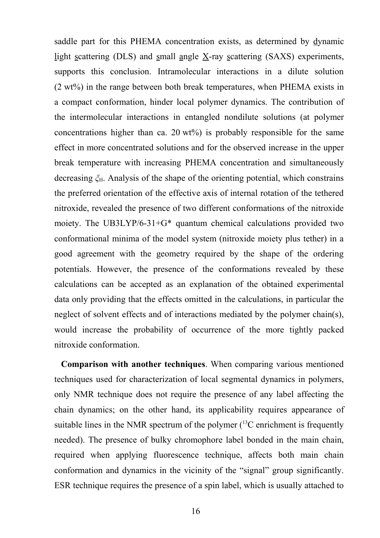saddle part for this PHEMA concentration exists, as determined by dynamic light scattering (DLS) and small angle X-ray scattering (SAXS) experiments, supports this conclusion. Intramolecular interactions in a dilute solution (2 wt%) in the range between both break temperatures, when PHEMA exists in a compact conformation, hinder local polymer dynamics. The contribution of the intermolecular interactions in entangled nondilute solutions (at polymer concentrations higher than ca. 20  $wt\%$ ) is probably responsible for the same effect in more concentrated solutions and for the observed increase in the upper break temperature with increasing PHEMA concentration and simultaneously decreasing *ξ*H. Analysis of the shape of the orienting potential, which constrains the preferred orientation of the effective axis of internal rotation of the tethered nitroxide, revealed the presence of two different conformations of the nitroxide moiety. The UB3LYP/6-31+G\* quantum chemical calculations provided two conformational minima of the model system (nitroxide moiety plus tether) in a good agreement with the geometry required by the shape of the ordering potentials. However, the presence of the conformations revealed by these calculations can be accepted as an explanation of the obtained experimental data only providing that the effects omitted in the calculations, in particular the neglect of solvent effects and of interactions mediated by the polymer chain(s), would increase the probability of occurrence of the more tightly packed nitroxide conformation.

**Comparison with another techniques**. When comparing various mentioned techniques used for characterization of local segmental dynamics in polymers, only NMR technique does not require the presence of any label affecting the chain dynamics; on the other hand, its applicability requires appearance of suitable lines in the NMR spectrum of the polymer  $(^{13}C$  enrichment is frequently needed). The presence of bulky chromophore label bonded in the main chain, required when applying fluorescence technique, affects both main chain conformation and dynamics in the vicinity of the "signal" group significantly. ESR technique requires the presence of a spin label, which is usually attached to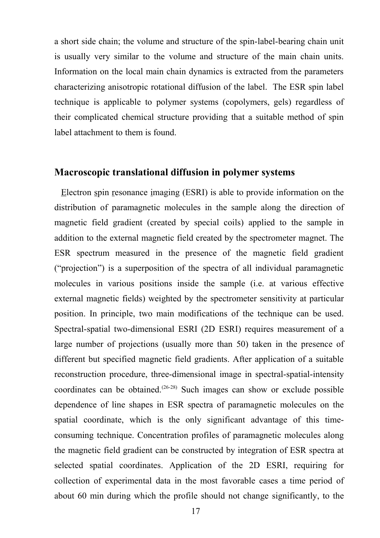a short side chain; the volume and structure of the spin-label-bearing chain unit is usually very similar to the volume and structure of the main chain units. Information on the local main chain dynamics is extracted from the parameters characterizing anisotropic rotational diffusion of the label. The ESR spin label technique is applicable to polymer systems (copolymers, gels) regardless of their complicated chemical structure providing that a suitable method of spin label attachment to them is found.

#### **Macroscopic translational diffusion in polymer systems**

Electron spin resonance imaging (ESRI) is able to provide information on the distribution of paramagnetic molecules in the sample along the direction of magnetic field gradient (created by special coils) applied to the sample in addition to the external magnetic field created by the spectrometer magnet. The ESR spectrum measured in the presence of the magnetic field gradient ("projection") is a superposition of the spectra of all individual paramagnetic molecules in various positions inside the sample (i.e. at various effective external magnetic fields) weighted by the spectrometer sensitivity at particular position. In principle, two main modifications of the technique can be used. Spectral-spatial two-dimensional ESRI (2D ESRI) requires measurement of a large number of projections (usually more than 50) taken in the presence of different but specified magnetic field gradients. After application of a suitable reconstruction procedure, three-dimensional image in spectral-spatial-intensity coordinates can be obtained.<sup> $(26-28)$ </sup> Such images can show or exclude possible dependence of line shapes in ESR spectra of paramagnetic molecules on the spatial coordinate, which is the only significant advantage of this timeconsuming technique. Concentration profiles of paramagnetic molecules along the magnetic field gradient can be constructed by integration of ESR spectra at selected spatial coordinates. Application of the 2D ESRI, requiring for collection of experimental data in the most favorable cases a time period of about 60 min during which the profile should not change significantly, to the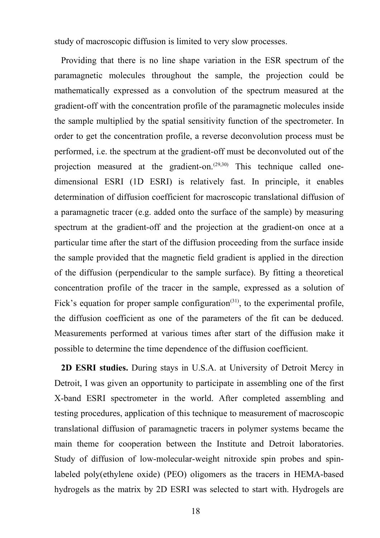study of macroscopic diffusion is limited to very slow processes.

Providing that there is no line shape variation in the ESR spectrum of the paramagnetic molecules throughout the sample, the projection could be mathematically expressed as a convolution of the spectrum measured at the gradient-off with the concentration profile of the paramagnetic molecules inside the sample multiplied by the spatial sensitivity function of the spectrometer. In order to get the concentration profile, a reverse deconvolution process must be performed, i.e. the spectrum at the gradient-off must be deconvoluted out of the projection measured at the gradient-on.<sup>(29,30)</sup> This technique called onedimensional ESRI (1D ESRI) is relatively fast. In principle, it enables determination of diffusion coefficient for macroscopic translational diffusion of a paramagnetic tracer (e.g. added onto the surface of the sample) by measuring spectrum at the gradient-off and the projection at the gradient-on once at a particular time after the start of the diffusion proceeding from the surface inside the sample provided that the magnetic field gradient is applied in the direction of the diffusion (perpendicular to the sample surface). By fitting a theoretical concentration profile of the tracer in the sample, expressed as a solution of Fick's equation for proper sample configuration<sup> $(31)$ </sup>, to the experimental profile, the diffusion coefficient as one of the parameters of the fit can be deduced. Measurements performed at various times after start of the diffusion make it possible to determine the time dependence of the diffusion coefficient.

**2D ESRI studies.** During stays in U.S.A. at University of Detroit Mercy in Detroit, I was given an opportunity to participate in assembling one of the first X-band ESRI spectrometer in the world. After completed assembling and testing procedures, application of this technique to measurement of macroscopic translational diffusion of paramagnetic tracers in polymer systems became the main theme for cooperation between the Institute and Detroit laboratories. Study of diffusion of low-molecular-weight nitroxide spin probes and spinlabeled poly(ethylene oxide) (PEO) oligomers as the tracers in HEMA-based hydrogels as the matrix by 2D ESRI was selected to start with. Hydrogels are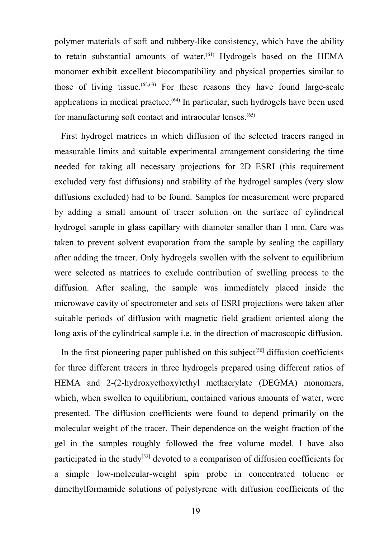polymer materials of soft and rubbery-like consistency, which have the ability to retain substantial amounts of water. (61) Hydrogels based on the HEMA monomer exhibit excellent biocompatibility and physical properties similar to those of living tissue.<sup> $(62,63)$ </sup> For these reasons they have found large-scale applications in medical practice.<sup>(64)</sup> In particular, such hydrogels have been used for manufacturing soft contact and intraocular lenses.<sup>(65)</sup>

First hydrogel matrices in which diffusion of the selected tracers ranged in measurable limits and suitable experimental arrangement considering the time needed for taking all necessary projections for 2D ESRI (this requirement excluded very fast diffusions) and stability of the hydrogel samples (very slow diffusions excluded) had to be found. Samples for measurement were prepared by adding a small amount of tracer solution on the surface of cylindrical hydrogel sample in glass capillary with diameter smaller than 1 mm. Care was taken to prevent solvent evaporation from the sample by sealing the capillary after adding the tracer. Only hydrogels swollen with the solvent to equilibrium were selected as matrices to exclude contribution of swelling process to the diffusion. After sealing, the sample was immediately placed inside the microwave cavity of spectrometer and sets of ESRI projections were taken after suitable periods of diffusion with magnetic field gradient oriented along the long axis of the cylindrical sample i.e. in the direction of macroscopic diffusion.

In the first pioneering paper published on this subject<sup>[50]</sup> diffusion coefficients for three different tracers in three hydrogels prepared using different ratios of HEMA and 2-(2-hydroxyethoxy)ethyl methacrylate (DEGMA) monomers, which, when swollen to equilibrium, contained various amounts of water, were presented. The diffusion coefficients were found to depend primarily on the molecular weight of the tracer. Their dependence on the weight fraction of the gel in the samples roughly followed the free volume model. I have also participated in the study<sup>[52]</sup> devoted to a comparison of diffusion coefficients for a simple low-molecular-weight spin probe in concentrated toluene or dimethylformamide solutions of polystyrene with diffusion coefficients of the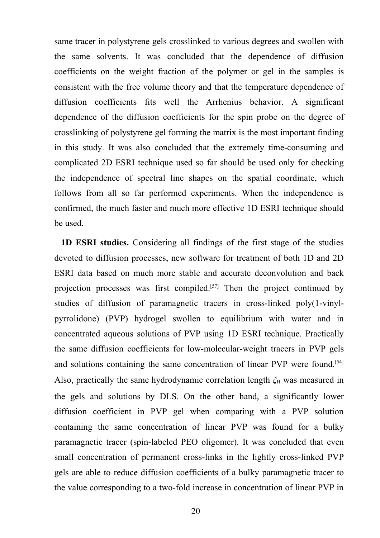same tracer in polystyrene gels crosslinked to various degrees and swollen with the same solvents. It was concluded that the dependence of diffusion coefficients on the weight fraction of the polymer or gel in the samples is consistent with the free volume theory and that the temperature dependence of diffusion coefficients fits well the Arrhenius behavior. A significant dependence of the diffusion coefficients for the spin probe on the degree of crosslinking of polystyrene gel forming the matrix is the most important finding in this study. It was also concluded that the extremely time-consuming and complicated 2D ESRI technique used so far should be used only for checking the independence of spectral line shapes on the spatial coordinate, which follows from all so far performed experiments. When the independence is confirmed, the much faster and much more effective 1D ESRI technique should be used.

**1D ESRI studies.** Considering all findings of the first stage of the studies devoted to diffusion processes, new software for treatment of both 1D and 2D ESRI data based on much more stable and accurate deconvolution and back projection processes was first compiled.<sup>[57]</sup> Then the project continued by studies of diffusion of paramagnetic tracers in cross-linked poly(1-vinylpyrrolidone) (PVP) hydrogel swollen to equilibrium with water and in concentrated aqueous solutions of PVP using 1D ESRI technique. Practically the same diffusion coefficients for low-molecular-weight tracers in PVP gels and solutions containing the same concentration of linear PVP were found.<sup>[54]</sup> Also, practically the same hydrodynamic correlation length  $\zeta$ <sup>H</sup> was measured in the gels and solutions by DLS. On the other hand, a significantly lower diffusion coefficient in PVP gel when comparing with a PVP solution containing the same concentration of linear PVP was found for a bulky paramagnetic tracer (spin-labeled PEO oligomer). It was concluded that even small concentration of permanent cross-links in the lightly cross-linked PVP gels are able to reduce diffusion coefficients of a bulky paramagnetic tracer to the value corresponding to a two-fold increase in concentration of linear PVP in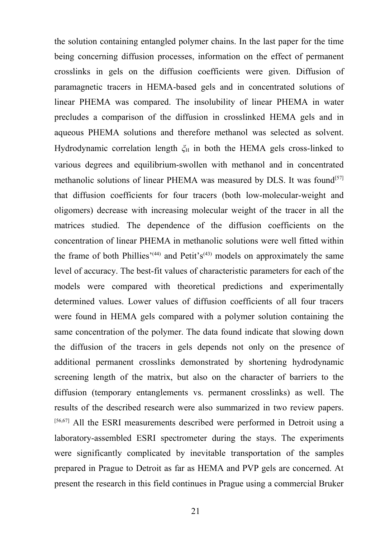the solution containing entangled polymer chains. In the last paper for the time being concerning diffusion processes, information on the effect of permanent crosslinks in gels on the diffusion coefficients were given. Diffusion of paramagnetic tracers in HEMA-based gels and in concentrated solutions of linear PHEMA was compared. The insolubility of linear PHEMA in water precludes a comparison of the diffusion in crosslinked HEMA gels and in aqueous PHEMA solutions and therefore methanol was selected as solvent. Hydrodynamic correlation length  $\zeta$ <sup>H</sup> in both the HEMA gels cross-linked to various degrees and equilibrium-swollen with methanol and in concentrated methanolic solutions of linear PHEMA was measured by DLS. It was found<sup>[57]</sup> that diffusion coefficients for four tracers (both low-molecular-weight and oligomers) decrease with increasing molecular weight of the tracer in all the matrices studied. The dependence of the diffusion coefficients on the concentration of linear PHEMA in methanolic solutions were well fitted within the frame of both Phillies<sup>'(44)</sup> and Petit's<sup>(43)</sup> models on approximately the same level of accuracy. The best-fit values of characteristic parameters for each of the models were compared with theoretical predictions and experimentally determined values. Lower values of diffusion coefficients of all four tracers were found in HEMA gels compared with a polymer solution containing the same concentration of the polymer. The data found indicate that slowing down the diffusion of the tracers in gels depends not only on the presence of additional permanent crosslinks demonstrated by shortening hydrodynamic screening length of the matrix, but also on the character of barriers to the diffusion (temporary entanglements vs. permanent crosslinks) as well. The results of the described research were also summarized in two review papers. [56,67] All the ESRI measurements described were performed in Detroit using a laboratory-assembled ESRI spectrometer during the stays. The experiments were significantly complicated by inevitable transportation of the samples prepared in Prague to Detroit as far as HEMA and PVP gels are concerned. At present the research in this field continues in Prague using a commercial Bruker

21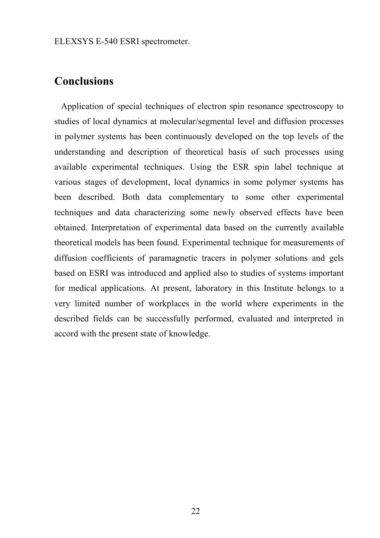ELEXSYS E-540 ESRI spectrometer.

## **Conclusions**

Application of special techniques of electron spin resonance spectroscopy to studies of local dynamics at molecular/segmental level and diffusion processes in polymer systems has been continuously developed on the top levels of the understanding and description of theoretical basis of such processes using available experimental techniques. Using the ESR spin label technique at various stages of development, local dynamics in some polymer systems has been described. Both data complementary to some other experimental techniques and data characterizing some newly observed effects have been obtained. Interpretation of experimental data based on the currently available theoretical models has been found. Experimental technique for measurements of diffusion coefficients of paramagnetic tracers in polymer solutions and gels based on ESRI was introduced and applied also to studies of systems important for medical applications. At present, laboratory in this Institute belongs to a very limited number of workplaces in the world where experiments in the described fields can be successfully performed, evaluated and interpreted in accord with the present state of knowledge.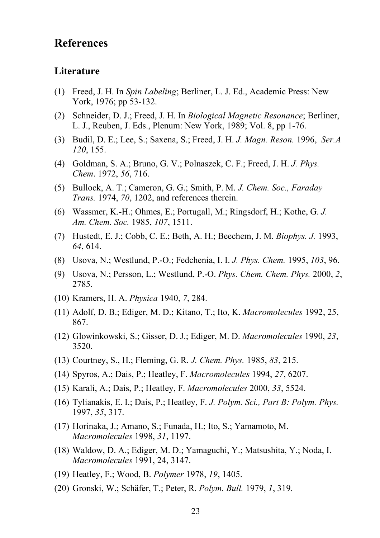## **References**

#### **Literature**

- (1) Freed, J. H. In *Spin Labeling*; Berliner, L. J. Ed., Academic Press: New York, 1976; pp 53-132.
- (2) Schneider, D. J.; Freed, J. H. In *Biological Magnetic Resonance*; Berliner, L. J., Reuben, J. Eds., Plenum: New York, 1989; Vol. 8, pp 1-76.
- (3) Budil, D. E.; Lee, S.; Saxena, S.; Freed, J. H. *J. Magn. Reson.* 1996, *Ser.A 120*, 155.
- (4) Goldman, S. A.; Bruno, G. V.; Polnaszek, C. F.; Freed, J. H. *J. Phys. Chem*. 1972, *56*, 716.
- (5) Bullock, A. T.; Cameron, G. G.; Smith, P. M. *J. Chem. Soc., Faraday Trans.* 1974, *70*, 1202, and references therein.
- (6) Wassmer, K.-H.; Ohmes, E.; Portugall, M.; Ringsdorf, H.; Kothe, G. *J. Am. Chem. Soc.* 1985, *107*, 1511.
- (7) Hustedt, E. J.; Cobb, C. E.; Beth, A. H.; Beechem, J. M. *Biophys. J.* 1993, *64*, 614.
- (8) Usova, N.; Westlund, P.-O.; Fedchenia, I. I. *J. Phys. Chem.* 1995, *103*, 96.
- (9) Usova, N.; Persson, L.; Westlund, P.-O. *Phys. Chem. Chem. Phys.* 2000, *2*, 2785.
- (10) Kramers, H. A. *Physica* 1940, *7*, 284.
- (11) Adolf, D. B.; Ediger, M. D.; Kitano, T.; Ito, K. *Macromolecules* 1992, 25, 867.
- (12) Glowinkowski, S.; Gisser, D. J.; Ediger, M. D. *Macromolecules* 1990, *23*, 3520.
- (13) Courtney, S., H.; Fleming, G. R. *J. Chem. Phys.* 1985, *83*, 215.
- (14) Spyros, A.; Dais, P.; Heatley, F. *Macromolecules* 1994, *27*, 6207.
- (15) Karali, A.; Dais, P.; Heatley, F. *Macromolecules* 2000, *33*, 5524.
- (16) Tylianakis, E. I.; Dais, P.; Heatley, F. *J. Polym. Sci., Part B: Polym. Phys.* 1997, *35*, 317.
- (17) Horinaka, J.; Amano, S.; Funada, H.; Ito, S.; Yamamoto, M. *Macromolecules* 1998, *31*, 1197.
- (18) Waldow, D. A.; Ediger, M. D.; Yamaguchi, Y.; Matsushita, Y.; Noda, I. *Macromolecules* 1991, 24, 3147.
- (19) Heatley, F.; Wood, B. *Polymer* 1978, *19*, 1405.
- (20) Gronski, W.; Schäfer, T.; Peter, R. *Polym. Bull.* 1979, *1*, 319.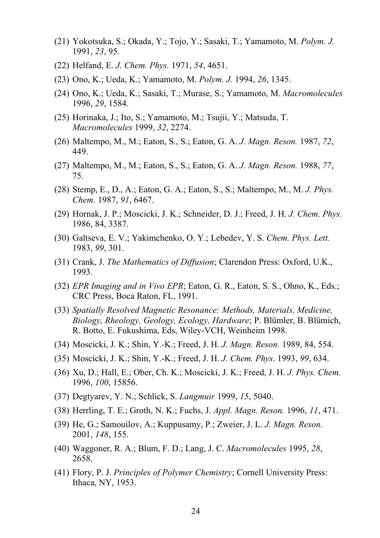- (21) Yokotsuka, S.; Okada, Y.; Tojo, Y.; Sasaki, T.; Yamamoto, M. *Polym. J.* 1991, *23*, 95.
- (22) Helfand, E. *J. Chem. Phys.* 1971, *54*, 4651.
- (23) Ono, K.; Ueda, K.; Yamamoto, M. *Polym. J.* 1994, *26*, 1345.
- (24) Ono, K.; Ueda, K.; Sasaki, T.; Murase, S.; Yamamoto, M. *Macromolecules* 1996, *29*, 1584.
- (25) Horinaka, J.; Ito, S.; Yamamoto, M.; Tsujii, Y.; Matsuda, T. *Macromolecules* 1999, *32*, 2274.
- (26) Maltempo, M., M.; Eaton, S., S.; Eaton, G. A. *J. Magn. Reson.* 1987, *72*, 449.
- (27) Maltempo, M., M.; Eaton, S., S.; Eaton, G. A. *J. Magn. Reson.* 1988, *77*, 75.
- (28) Stemp, E., D., A.; Eaton, G. A.; Eaton, S., S.; Maltempo, M., M. *J. Phys. Chem.* 1987, *91*, 6467.
- (29) Hornak, J. P.; Moscicki, J. K.; Schneider, D. J.; Freed, J. H. *J. Chem*. *Phys.* 1986, 84, 3387.
- (30) Galtseva, E. V.; Yakimchenko, O. Y.; Lebedev, Y. S. *Chem. Phys. Lett.* 1983, *99*, 301.
- (31) Crank, J. *The Mathematics of Diffusion*; Clarendon Press: Oxford, U.K., 1993.
- (32) *EPR Imaging and in Vivo EPR*; Eaton, G. R., Eaton, S. S., Ohno, K., Eds.; CRC Press, Boca Raton, FL, 1991.
- (33) *Spatially Resolved Magnetic Resonance: Methods, Materials, Medicine, Biology, Rheology, Geology, Ecology, Hardware*; P. Blümler, B. Blümich, R. Botto, E. Fukushima, Eds, Wiley-VCH, Weinheim 1998.
- (34) Moscicki, J. K.; Shin, Y.-K.; Freed, J. H. *J. Magn. Reson.* 1989, 84, 554.
- (35) Moscicki, J. K.; Shin, Y.-K.; Freed, J. H. *J. Chem. Phys*. 1993, *99*, 634.
- (36) Xu, D.; Hall, E.; Ober, Ch. K.; Moscicki, J. K.; Freed, J. H. *J. Phys. Chem.* 1996, *100*, 15856.
- (37) Degtyarev, Y. N.; Schlick, S. *Langmuir* 1999, *15*, 5040.
- (38) Herrling, T. E.; Groth, N. K.; Fuchs, J. *Appl. Magn. Reson.* 1996, *11*, 471.
- (39) He, G.; Samouilov, A.; Kuppusamy, P.; Zweier, J. L. *J. Magn. Reson.* 2001, *148*, 155.
- (40) Waggoner, R. A.; Blum, F. D.; Lang, J. C. *Macromolecules* 1995, *28*, 2658.
- (41) Flory, P. J. *Principles of Polymer Chemistry*; Cornell University Press: Ithaca, NY, 1953.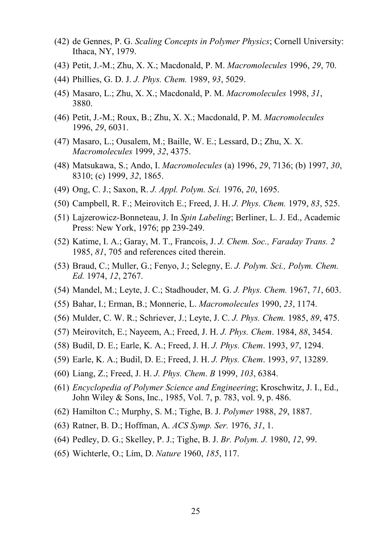- (42) de Gennes, P. G. *Scaling Concepts in Polymer Physics*; Cornell University: Ithaca, NY, 1979.
- (43) Petit, J.-M.; Zhu, X. X.; Macdonald, P. M. *Macromolecules* 1996, *29*, 70.
- (44) Phillies, G. D. J. *J. Phys. Chem.* 1989, *93*, 5029.
- (45) Masaro, L.; Zhu, X. X.; Macdonald, P. M. *Macromolecules* 1998, *31*, 3880.
- (46) Petit, J.-M.; Roux, B.; Zhu, X. X.; Macdonald, P. M. *Macromolecules* 1996, *29*, 6031.
- (47) Masaro, L.; Ousalem, M.; Baille, W. E.; Lessard, D.; Zhu, X. X. *Macromolecules* 1999, *32*, 4375.
- (48) Matsukawa, S.; Ando, I. *Macromolecules* (a) 1996, *29*, 7136; (b) 1997, *30*, 8310; (c) 1999, *32*, 1865.
- (49) Ong, C. J.; Saxon, R. *J. Appl. Polym. Sci.* 1976, *20*, 1695.
- (50) Campbell, R. F.; Meirovitch E.; Freed, J. H. *J. Phys. Chem.* 1979, *83*, 525.
- (51) Lajzerowicz-Bonneteau, J. In *Spin Labeling*; Berliner, L. J. Ed., Academic Press: New York, 1976; pp 239-249.
- (52) Katime, I. A.; Garay, M. T., Francois, J. *J. Chem. Soc., Faraday Trans. 2* 1985, *81*, 705 and references cited therein.
- (53) Braud, C.; Muller, G.; Fenyo, J.; Selegny, E. *J. Polym. Sci., Polym. Chem. Ed.* 1974, *12*, 2767.
- (54) Mandel, M.; Leyte, J. C.; Stadhouder, M. G. *J. Phys. Chem.* 1967, *71*, 603.
- (55) Bahar, I.; Erman, B.; Monnerie, L. *Macromolecules* 1990, *23*, 1174.
- (56) Mulder, C. W. R.; Schriever, J.; Leyte, J. C. *J. Phys. Chem.* 1985, *89*, 475.
- (57) Meirovitch, E.; Nayeem, A.; Freed, J. H. *J. Phys. Chem*. 1984, *88*, 3454.
- (58) Budil, D. E.; Earle, K. A.; Freed, J. H. *J. Phys. Chem*. 1993, *97*, 1294.
- (59) Earle, K. A.; Budil, D. E.; Freed, J. H. *J. Phys. Chem*. 1993, *97*, 13289.
- (60) Liang, Z.; Freed, J. H. *J. Phys. Chem*. *B* 1999, *103*, 6384.
- (61) *Encyclopedia of Polymer Science and Engineering*; Kroschwitz, J. I., Ed., John Wiley & Sons, Inc., 1985, Vol. 7, p. 783, vol. 9, p. 486.
- (62) Hamilton C.; Murphy, S. M.; Tighe, B. J. *Polymer* 1988, *29*, 1887.
- (63) Ratner, B. D.; Hoffman, A. *ACS Symp. Ser.* 1976, *31*, 1.
- (64) Pedley, D. G.; Skelley, P. J.; Tighe, B. J. *Br. Polym. J.* 1980, *12*, 99.
- (65) Wichterle, O.; Lím, D. *Nature* 1960, *185*, 117.